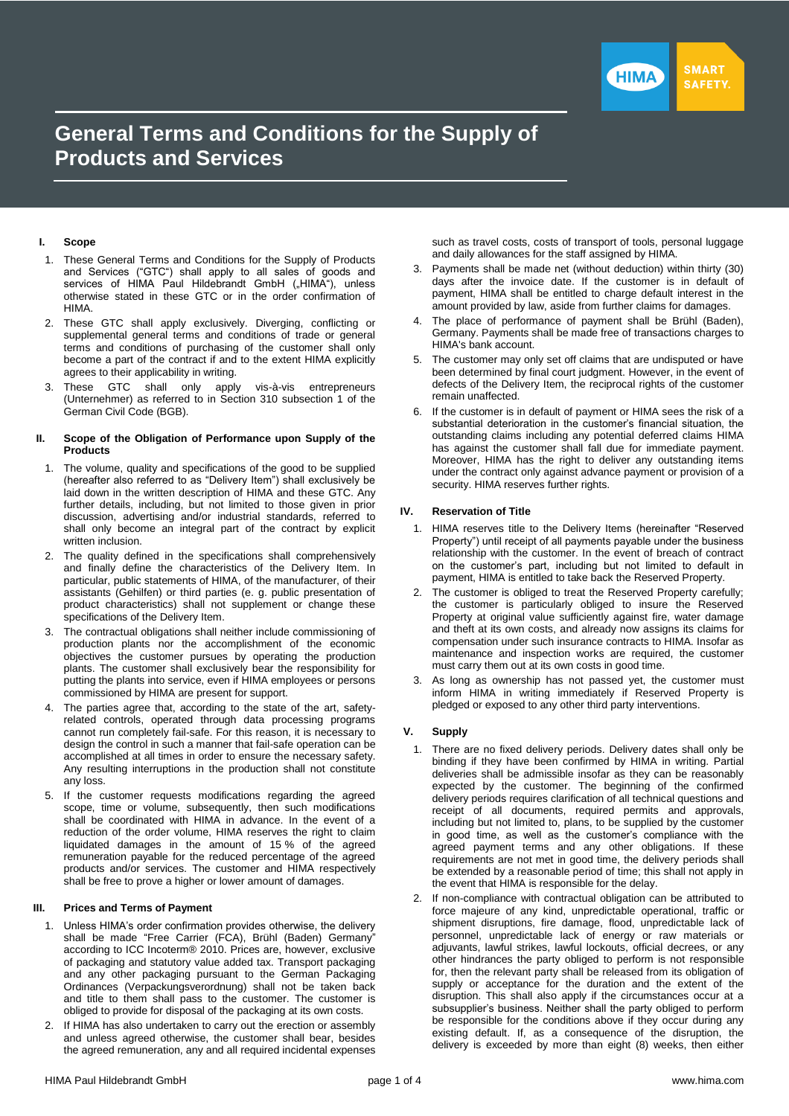

# **General Terms and Conditions for the Supply of Products and Services**

## **I. Scope**

- 1. These General Terms and Conditions for the Supply of Products and Services ("GTC") shall apply to all sales of goods and services of HIMA Paul Hildebrandt GmbH ("HIMA"), unless otherwise stated in these GTC or in the order confirmation of HIMA.
- 2. These GTC shall apply exclusively. Diverging, conflicting or supplemental general terms and conditions of trade or general terms and conditions of purchasing of the customer shall only become a part of the contract if and to the extent HIMA explicitly agrees to their applicability in writing.
- 3. These GTC shall only apply vis-à-vis entrepreneurs (Unternehmer) as referred to in Section 310 subsection 1 of the German Civil Code (BGB).

#### **II. Scope of the Obligation of Performance upon Supply of the Products**

- 1. The volume, quality and specifications of the good to be supplied (hereafter also referred to as "Delivery Item") shall exclusively be laid down in the written description of HIMA and these GTC. Any further details, including, but not limited to those given in prior discussion, advertising and/or industrial standards, referred to shall only become an integral part of the contract by explicit written inclusion.
- 2. The quality defined in the specifications shall comprehensively and finally define the characteristics of the Delivery Item. In particular, public statements of HIMA, of the manufacturer, of their assistants (Gehilfen) or third parties (e. g. public presentation of product characteristics) shall not supplement or change these specifications of the Delivery Item.
- 3. The contractual obligations shall neither include commissioning of production plants nor the accomplishment of the economic objectives the customer pursues by operating the production plants. The customer shall exclusively bear the responsibility for putting the plants into service, even if HIMA employees or persons commissioned by HIMA are present for support.
- 4. The parties agree that, according to the state of the art, safetyrelated controls, operated through data processing programs cannot run completely fail-safe. For this reason, it is necessary to design the control in such a manner that fail-safe operation can be accomplished at all times in order to ensure the necessary safety. Any resulting interruptions in the production shall not constitute any loss.
- 5. If the customer requests modifications regarding the agreed scope, time or volume, subsequently, then such modifications shall be coordinated with HIMA in advance. In the event of a reduction of the order volume, HIMA reserves the right to claim liquidated damages in the amount of 15 % of the agreed remuneration payable for the reduced percentage of the agreed products and/or services. The customer and HIMA respectively shall be free to prove a higher or lower amount of damages.

## **III. Prices and Terms of Payment**

- 1. Unless HIMA's order confirmation provides otherwise, the delivery shall be made "Free Carrier (FCA), Brühl (Baden) Germany" according to ICC Incoterm® 2010. Prices are, however, exclusive of packaging and statutory value added tax. Transport packaging and any other packaging pursuant to the German Packaging Ordinances (Verpackungsverordnung) shall not be taken back and title to them shall pass to the customer. The customer is obliged to provide for disposal of the packaging at its own costs.
- 2. If HIMA has also undertaken to carry out the erection or assembly and unless agreed otherwise, the customer shall bear, besides the agreed remuneration, any and all required incidental expenses

such as travel costs, costs of transport of tools, personal luggage and daily allowances for the staff assigned by HIMA.

- 3. Payments shall be made net (without deduction) within thirty (30) days after the invoice date. If the customer is in default of payment, HIMA shall be entitled to charge default interest in the amount provided by law, aside from further claims for damages.
- 4. The place of performance of payment shall be Brühl (Baden), Germany. Payments shall be made free of transactions charges to HIMA's bank account.
- 5. The customer may only set off claims that are undisputed or have been determined by final court judgment. However, in the event of defects of the Delivery Item, the reciprocal rights of the customer remain unaffected.
- 6. If the customer is in default of payment or HIMA sees the risk of a substantial deterioration in the customer's financial situation, the outstanding claims including any potential deferred claims HIMA has against the customer shall fall due for immediate payment. Moreover, HIMA has the right to deliver any outstanding items under the contract only against advance payment or provision of a security. HIMA reserves further rights.

## **IV. Reservation of Title**

- 1. HIMA reserves title to the Delivery Items (hereinafter "Reserved Property") until receipt of all payments payable under the business relationship with the customer. In the event of breach of contract on the customer's part, including but not limited to default in payment, HIMA is entitled to take back the Reserved Property.
- 2. The customer is obliged to treat the Reserved Property carefully; the customer is particularly obliged to insure the Reserved Property at original value sufficiently against fire, water damage and theft at its own costs, and already now assigns its claims for compensation under such insurance contracts to HIMA. Insofar as maintenance and inspection works are required, the customer must carry them out at its own costs in good time.
- 3. As long as ownership has not passed yet, the customer must inform HIMA in writing immediately if Reserved Property is pledged or exposed to any other third party interventions.

# **V. Supply**

- 1. There are no fixed delivery periods. Delivery dates shall only be binding if they have been confirmed by HIMA in writing. Partial deliveries shall be admissible insofar as they can be reasonably expected by the customer. The beginning of the confirmed delivery periods requires clarification of all technical questions and receipt of all documents, required permits and approvals, including but not limited to, plans, to be supplied by the customer in good time, as well as the customer's compliance with the agreed payment terms and any other obligations. If these requirements are not met in good time, the delivery periods shall be extended by a reasonable period of time; this shall not apply in the event that HIMA is responsible for the delay.
- 2. If non-compliance with contractual obligation can be attributed to force majeure of any kind, unpredictable operational, traffic or shipment disruptions, fire damage, flood, unpredictable lack of personnel, unpredictable lack of energy or raw materials or adjuvants, lawful strikes, lawful lockouts, official decrees, or any other hindrances the party obliged to perform is not responsible for, then the relevant party shall be released from its obligation of supply or acceptance for the duration and the extent of the disruption. This shall also apply if the circumstances occur at a subsupplier's business. Neither shall the party obliged to perform be responsible for the conditions above if they occur during any existing default. If, as a consequence of the disruption, the delivery is exceeded by more than eight (8) weeks, then either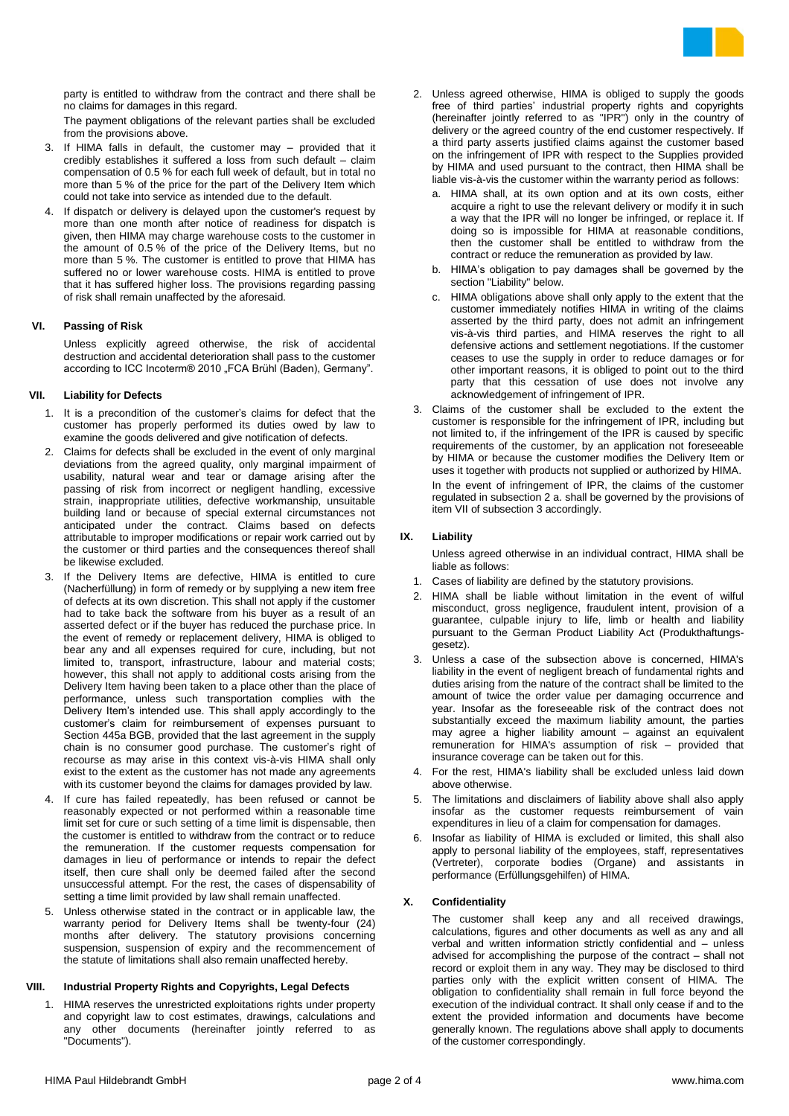

party is entitled to withdraw from the contract and there shall be no claims for damages in this regard.

The payment obligations of the relevant parties shall be excluded from the provisions above.

- 3. If HIMA falls in default, the customer may provided that it credibly establishes it suffered a loss from such default – claim compensation of 0.5 % for each full week of default, but in total no more than 5 % of the price for the part of the Delivery Item which could not take into service as intended due to the default.
- 4. If dispatch or delivery is delayed upon the customer's request by more than one month after notice of readiness for dispatch is given, then HIMA may charge warehouse costs to the customer in the amount of 0.5 % of the price of the Delivery Items, but no more than 5 %. The customer is entitled to prove that HIMA has suffered no or lower warehouse costs. HIMA is entitled to prove that it has suffered higher loss. The provisions regarding passing of risk shall remain unaffected by the aforesaid.

## **VI. Passing of Risk**

Unless explicitly agreed otherwise, the risk of accidental destruction and accidental deterioration shall pass to the customer according to ICC Incoterm® 2010 "FCA Brühl (Baden), Germany".

## **VII. Liability for Defects**

- 1. It is a precondition of the customer's claims for defect that the customer has properly performed its duties owed by law to examine the goods delivered and give notification of defects.
- 2. Claims for defects shall be excluded in the event of only marginal deviations from the agreed quality, only marginal impairment of usability, natural wear and tear or damage arising after the passing of risk from incorrect or negligent handling, excessive strain, inappropriate utilities, defective workmanship, unsuitable building land or because of special external circumstances not anticipated under the contract. Claims based on defects attributable to improper modifications or repair work carried out by the customer or third parties and the consequences thereof shall be likewise excluded.
- 3. If the Delivery Items are defective, HIMA is entitled to cure (Nacherfüllung) in form of remedy or by supplying a new item free of defects at its own discretion. This shall not apply if the customer had to take back the software from his buyer as a result of an asserted defect or if the buyer has reduced the purchase price. In the event of remedy or replacement delivery, HIMA is obliged to bear any and all expenses required for cure, including, but not limited to, transport, infrastructure, labour and material costs; however, this shall not apply to additional costs arising from the Delivery Item having been taken to a place other than the place of performance, unless such transportation complies with the Delivery Item's intended use. This shall apply accordingly to the customer's claim for reimbursement of expenses pursuant to Section 445a BGB, provided that the last agreement in the supply chain is no consumer good purchase. The customer's right of recourse as may arise in this context vis-à-vis HIMA shall only exist to the extent as the customer has not made any agreements with its customer beyond the claims for damages provided by law.
- 4. If cure has failed repeatedly, has been refused or cannot be reasonably expected or not performed within a reasonable time limit set for cure or such setting of a time limit is dispensable, then the customer is entitled to withdraw from the contract or to reduce the remuneration. If the customer requests compensation for damages in lieu of performance or intends to repair the defect itself, then cure shall only be deemed failed after the second unsuccessful attempt. For the rest, the cases of dispensability of setting a time limit provided by law shall remain unaffected.
- 5. Unless otherwise stated in the contract or in applicable law, the warranty period for Delivery Items shall be twenty-four (24) months after delivery. The statutory provisions concerning suspension, suspension of expiry and the recommencement of the statute of limitations shall also remain unaffected hereby.

# **VIII. Industrial Property Rights and Copyrights, Legal Defects**

1. HIMA reserves the unrestricted exploitations rights under property and copyright law to cost estimates, drawings, calculations and any other documents (hereinafter jointly referred to as "Documents").

- 2. Unless agreed otherwise, HIMA is obliged to supply the goods free of third parties' industrial property rights and copyrights (hereinafter jointly referred to as "IPR") only in the country of delivery or the agreed country of the end customer respectively. If a third party asserts justified claims against the customer based on the infringement of IPR with respect to the Supplies provided by HIMA and used pursuant to the contract, then HIMA shall be liable vis-à-vis the customer within the warranty period as follows:
	- a. HIMA shall, at its own option and at its own costs, either acquire a right to use the relevant delivery or modify it in such a way that the IPR will no longer be infringed, or replace it. If doing so is impossible for HIMA at reasonable conditions, then the customer shall be entitled to withdraw from the contract or reduce the remuneration as provided by law.
	- b. HIMA's obligation to pay damages shall be governed by the section "Liability" below.
	- c. HIMA obligations above shall only apply to the extent that the customer immediately notifies HIMA in writing of the claims asserted by the third party, does not admit an infringement vis-à-vis third parties, and HIMA reserves the right to all defensive actions and settlement negotiations. If the customer ceases to use the supply in order to reduce damages or for other important reasons, it is obliged to point out to the third party that this cessation of use does not involve any acknowledgement of infringement of IPR.
- 3. Claims of the customer shall be excluded to the extent the customer is responsible for the infringement of IPR, including but not limited to, if the infringement of the IPR is caused by specific requirements of the customer, by an application not foreseeable by HIMA or because the customer modifies the Delivery Item or uses it together with products not supplied or authorized by HIMA. In the event of infringement of IPR, the claims of the customer regulated in subsection 2 a. shall be governed by the provisions of item VII of subsection 3 accordingly.

## **IX. Liability**

Unless agreed otherwise in an individual contract, HIMA shall be liable as follows:

- 1. Cases of liability are defined by the statutory provisions.
- 2. HIMA shall be liable without limitation in the event of wilful misconduct, gross negligence, fraudulent intent, provision of a guarantee, culpable injury to life, limb or health and liability pursuant to the German Product Liability Act (Produkthaftungsgesetz).
- 3. Unless a case of the subsection above is concerned, HIMA's liability in the event of negligent breach of fundamental rights and duties arising from the nature of the contract shall be limited to the amount of twice the order value per damaging occurrence and year. Insofar as the foreseeable risk of the contract does not substantially exceed the maximum liability amount, the parties may agree a higher liability amount – against an equivalent remuneration for HIMA's assumption of risk – provided that insurance coverage can be taken out for this.
- 4. For the rest, HIMA's liability shall be excluded unless laid down above otherwise.
- 5. The limitations and disclaimers of liability above shall also apply insofar as the customer requests reimbursement of vain expenditures in lieu of a claim for compensation for damages.
- 6. Insofar as liability of HIMA is excluded or limited, this shall also apply to personal liability of the employees, staff, representatives (Vertreter), corporate bodies (Organe) and assistants in performance (Erfüllungsgehilfen) of HIMA.

## **X. Confidentiality**

The customer shall keep any and all received drawings, calculations, figures and other documents as well as any and all verbal and written information strictly confidential and – unless advised for accomplishing the purpose of the contract – shall not record or exploit them in any way. They may be disclosed to third parties only with the explicit written consent of HIMA. The obligation to confidentiality shall remain in full force beyond the execution of the individual contract. It shall only cease if and to the extent the provided information and documents have become generally known. The regulations above shall apply to documents of the customer correspondingly.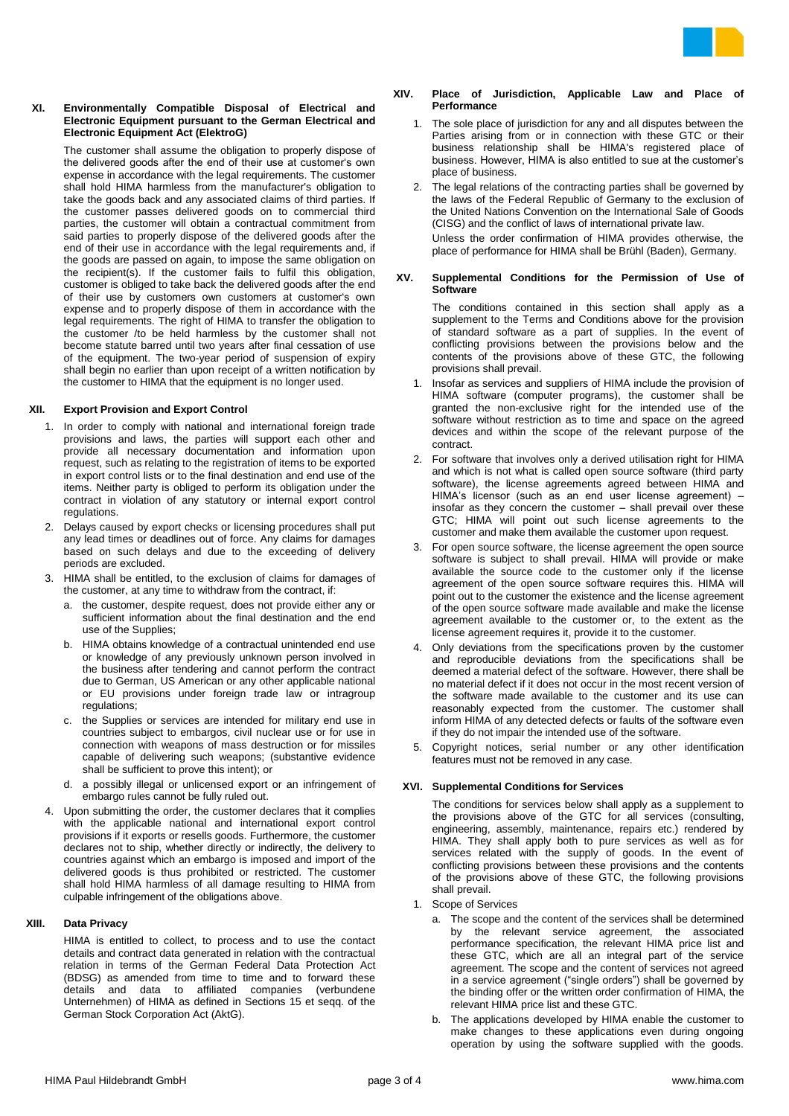

## **XI. Environmentally Compatible Disposal of Electrical and Electronic Equipment pursuant to the German Electrical and Electronic Equipment Act (ElektroG)**

The customer shall assume the obligation to properly dispose of the delivered goods after the end of their use at customer's own expense in accordance with the legal requirements. The customer shall hold HIMA harmless from the manufacturer's obligation to take the goods back and any associated claims of third parties. If the customer passes delivered goods on to commercial third parties, the customer will obtain a contractual commitment from said parties to properly dispose of the delivered goods after the end of their use in accordance with the legal requirements and, if the goods are passed on again, to impose the same obligation on the recipient(s). If the customer fails to fulfil this obligation, customer is obliged to take back the delivered goods after the end of their use by customers own customers at customer's own expense and to properly dispose of them in accordance with the legal requirements. The right of HIMA to transfer the obligation to the customer /to be held harmless by the customer shall not become statute barred until two years after final cessation of use of the equipment. The two-year period of suspension of expiry shall begin no earlier than upon receipt of a written notification by the customer to HIMA that the equipment is no longer used.

## **XII. Export Provision and Export Control**

- 1. In order to comply with national and international foreign trade provisions and laws, the parties will support each other and provide all necessary documentation and information upon request, such as relating to the registration of items to be exported in export control lists or to the final destination and end use of the items. Neither party is obliged to perform its obligation under the contract in violation of any statutory or internal export control regulations.
- 2. Delays caused by export checks or licensing procedures shall put any lead times or deadlines out of force. Any claims for damages based on such delays and due to the exceeding of delivery periods are excluded.
- 3. HIMA shall be entitled, to the exclusion of claims for damages of the customer, at any time to withdraw from the contract, if:
	- a. the customer, despite request, does not provide either any or sufficient information about the final destination and the end use of the Supplies;
	- b. HIMA obtains knowledge of a contractual unintended end use or knowledge of any previously unknown person involved in the business after tendering and cannot perform the contract due to German, US American or any other applicable national or EU provisions under foreign trade law or intragroup regulations;
	- c. the Supplies or services are intended for military end use in countries subject to embargos, civil nuclear use or for use in connection with weapons of mass destruction or for missiles capable of delivering such weapons; (substantive evidence shall be sufficient to prove this intent); or
	- d. a possibly illegal or unlicensed export or an infringement of embargo rules cannot be fully ruled out.
- 4. Upon submitting the order, the customer declares that it complies with the applicable national and international export control provisions if it exports or resells goods. Furthermore, the customer declares not to ship, whether directly or indirectly, the delivery to countries against which an embargo is imposed and import of the delivered goods is thus prohibited or restricted. The customer shall hold HIMA harmless of all damage resulting to HIMA from culpable infringement of the obligations above.

## **XIII. Data Privacy**

HIMA is entitled to collect, to process and to use the contact details and contract data generated in relation with the contractual relation in terms of the German Federal Data Protection Act (BDSG) as amended from time to time and to forward these details and data to affiliated companies (verbundene Unternehmen) of HIMA as defined in Sections 15 et seqq. of the German Stock Corporation Act (AktG).

#### **XIV. Place of Jurisdiction, Applicable Law and Place of Performance**

- 1. The sole place of jurisdiction for any and all disputes between the Parties arising from or in connection with these GTC or their business relationship shall be HIMA's registered place of business. However, HIMA is also entitled to sue at the customer's place of business.
- 2. The legal relations of the contracting parties shall be governed by the laws of the Federal Republic of Germany to the exclusion of the United Nations Convention on the International Sale of Goods (CISG) and the conflict of laws of international private law. Unless the order confirmation of HIMA provides otherwise, the place of performance for HIMA shall be Brühl (Baden), Germany.

#### **XV. Supplemental Conditions for the Permission of Use of Software**

The conditions contained in this section shall apply as a supplement to the Terms and Conditions above for the provision of standard software as a part of supplies. In the event of conflicting provisions between the provisions below and the contents of the provisions above of these GTC, the following provisions shall prevail.

- 1. Insofar as services and suppliers of HIMA include the provision of HIMA software (computer programs), the customer shall be granted the non-exclusive right for the intended use of the software without restriction as to time and space on the agreed devices and within the scope of the relevant purpose of the contract.
- 2. For software that involves only a derived utilisation right for HIMA and which is not what is called open source software (third party software), the license agreements agreed between HIMA and HIMA's licensor (such as an end user license agreement) – insofar as they concern the customer – shall prevail over these GTC; HIMA will point out such license agreements to the customer and make them available the customer upon request.
- 3. For open source software, the license agreement the open source software is subject to shall prevail. HIMA will provide or make available the source code to the customer only if the license agreement of the open source software requires this. HIMA will point out to the customer the existence and the license agreement of the open source software made available and make the license agreement available to the customer or, to the extent as the license agreement requires it, provide it to the customer.
- 4. Only deviations from the specifications proven by the customer and reproducible deviations from the specifications shall be deemed a material defect of the software. However, there shall be no material defect if it does not occur in the most recent version of the software made available to the customer and its use can reasonably expected from the customer. The customer shall inform HIMA of any detected defects or faults of the software even if they do not impair the intended use of the software.
- 5. Copyright notices, serial number or any other identification features must not be removed in any case.

## **XVI. Supplemental Conditions for Services**

The conditions for services below shall apply as a supplement to the provisions above of the GTC for all services (consulting, engineering, assembly, maintenance, repairs etc.) rendered by HIMA. They shall apply both to pure services as well as for services related with the supply of goods. In the event of conflicting provisions between these provisions and the contents of the provisions above of these GTC, the following provisions shall prevail.

- 1. Scope of Services
	- a. The scope and the content of the services shall be determined by the relevant service agreement, the associated performance specification, the relevant HIMA price list and these GTC, which are all an integral part of the service agreement. The scope and the content of services not agreed in a service agreement ("single orders") shall be governed by the binding offer or the written order confirmation of HIMA, the relevant HIMA price list and these GTC.
	- b. The applications developed by HIMA enable the customer to make changes to these applications even during ongoing operation by using the software supplied with the goods.